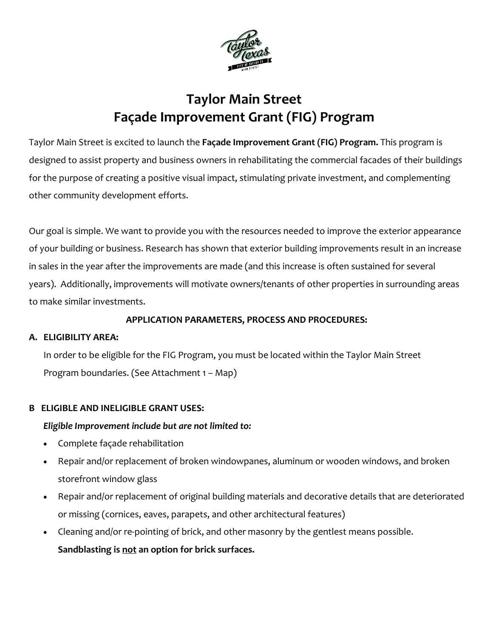

# **Taylor Main Street Façade Improvement Grant (FIG) Program**

Taylor Main Street is excited to launch the **Façade Improvement Grant (FIG) Program.** This program is designed to assist property and business owners in rehabilitating the commercial facades of their buildings for the purpose of creating a positive visual impact, stimulating private investment, and complementing other community development efforts.

Our goal is simple. We want to provide you with the resources needed to improve the exterior appearance of your building or business. Research has shown that exterior building improvements result in an increase in sales in the year after the improvements are made (and this increase is often sustained for several years). Additionally, improvements will motivate owners/tenants of other properties in surrounding areas to make similar investments.

#### **APPLICATION PARAMETERS, PROCESS AND PROCEDURES:**

#### **A. ELIGIBILITY AREA:**

In order to be eligible for the FIG Program, you must be located within the Taylor Main Street Program boundaries. (See Attachment 1 – Map)

#### **B ELIGIBLE AND INELIGIBLE GRANT USES:**

#### *Eligible Improvement include but are not limited to:*

- Complete façade rehabilitation
- Repair and/or replacement of broken windowpanes, aluminum or wooden windows, and broken storefront window glass
- Repair and/or replacement of original building materials and decorative details that are deteriorated or missing (cornices, eaves, parapets, and other architectural features)
- Cleaning and/or re-pointing of brick, and other masonry by the gentlest means possible. **Sandblasting is not an option for brick surfaces.**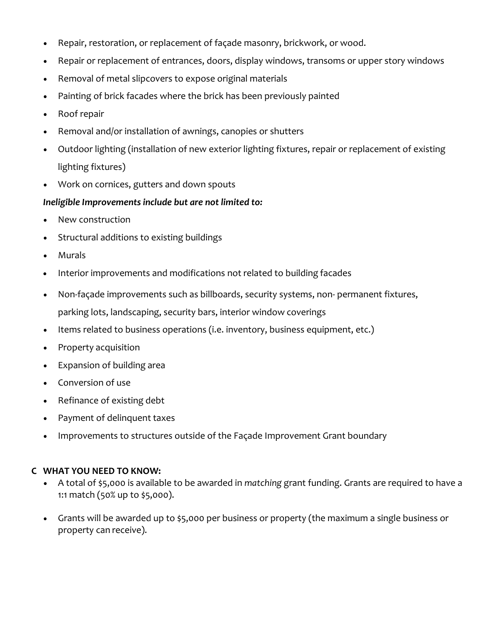- Repair, restoration, or replacement of façade masonry, brickwork, or wood.
- Repair or replacement of entrances, doors, display windows, transoms or upper story windows
- Removal of metal slipcovers to expose original materials
- Painting of brick facades where the brick has been previously painted
- Roof repair
- Removal and/or installation of awnings, canopies or shutters
- Outdoor lighting (installation of new exterior lighting fixtures, repair or replacement of existing lighting fixtures)
- Work on cornices, gutters and down spouts

#### *Ineligible Improvements include but are not limited to:*

- New construction
- Structural additions to existing buildings
- Murals
- Interior improvements and modifications not related to building facades
- Non-façade improvements such as billboards, security systems, non- permanent fixtures, parking lots, landscaping, security bars, interior window coverings
- Items related to business operations (i.e. inventory, business equipment, etc.)
- Property acquisition
- Expansion of building area
- Conversion of use
- Refinance of existing debt
- Payment of delinquent taxes
- Improvements to structures outside of the Façade Improvement Grant boundary

#### **C WHAT YOU NEED TO KNOW:**

- A total of \$5,000 is available to be awarded in *matching* grant funding. Grants are required to have a 1:1 match (50% up to \$5,000).
- Grants will be awarded up to \$5,000 per business or property (the maximum a single business or property can receive).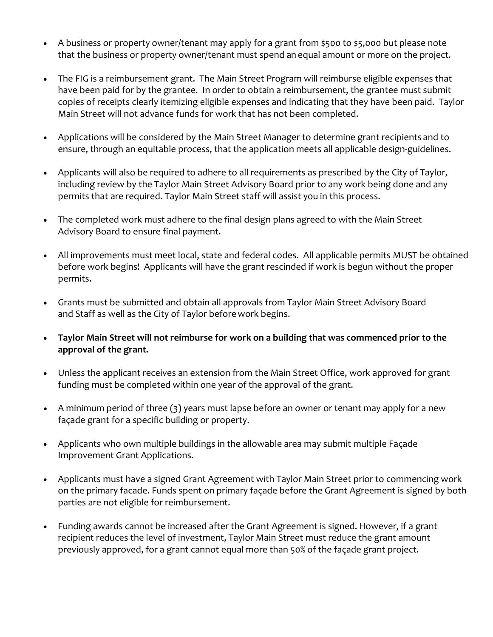- A business or property owner/tenant may apply for a grant from \$500 to \$5,000 but please note that the business or property owner/tenant must spend an equal amount or more on the project.
- The FIG is a reimbursement grant. The Main Street Program will reimburse eligible expenses that have been paid for by the grantee. In order to obtain a reimbursement, the grantee must submit copies of receipts clearly itemizing eligible expenses and indicating that they have been paid. Taylor Main Street will not advance funds for work that has not been completed.
- Applications will be considered by the Main Street Manager to determine grant recipients and to ensure, through an equitable process, that the application meets all applicable design-guidelines.
- Applicants will also be required to adhere to all requirements as prescribed by the City of Taylor, including review by the Taylor Main Street Advisory Board prior to any work being done and any permits that are required. Taylor Main Street staff will assist you in this process.
- The completed work must adhere to the final design plans agreed to with the Main Street Advisory Board to ensure final payment.
- All improvements must meet local, state and federal codes. All applicable permits MUST be obtained before work begins! Applicants will have the grant rescinded if work is begun without the proper permits.
- Grants must be submitted and obtain all approvals from Taylor Main Street Advisory Board and Staff as well as the City of Taylor beforework begins.
- **Taylor Main Street will not reimburse for work on a building that was commenced prior to the approval of the grant.**
- Unless the applicant receives an extension from the Main Street Office, work approved for grant funding must be completed within one year of the approval of the grant.
- A minimum period of three (3) years must lapse before an owner or tenant may apply for a new façade grant for a specific building or property.
- Applicants who own multiple buildings in the allowable area may submit multiple Façade Improvement Grant Applications.
- Applicants must have a signed Grant Agreement with Taylor Main Street prior to commencing work on the primary facade. Funds spent on primary façade before the Grant Agreement is signed by both parties are not eligible for reimbursement.
- Funding awards cannot be increased after the Grant Agreement is signed. However, if a grant recipient reduces the level of investment, Taylor Main Street must reduce the grant amount previously approved, for a grant cannot equal more than 50% of the façade grant project.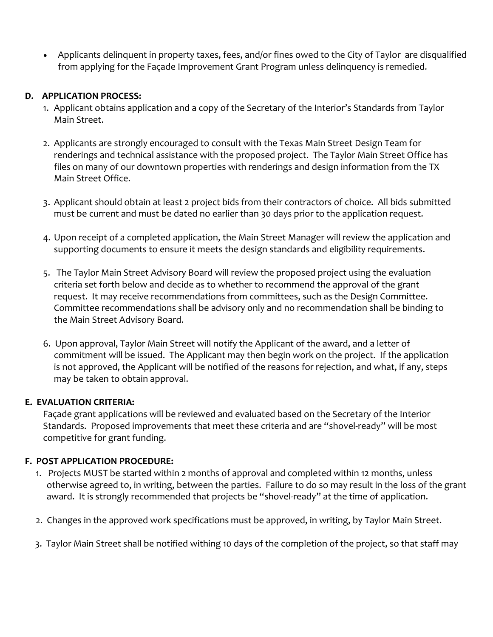• Applicants delinquent in property taxes, fees, and/or fines owed to the City of Taylor are disqualified from applying for the Façade Improvement Grant Program unless delinquency is remedied.

#### **D. APPLICATION PROCESS:**

- 1. Applicant obtains application and a copy of the Secretary of the Interior's Standards from Taylor Main Street.
- 2. Applicants are strongly encouraged to consult with the Texas Main Street Design Team for renderings and technical assistance with the proposed project. The Taylor Main Street Office has files on many of our downtown properties with renderings and design information from the TX Main Street Office.
- 3. Applicant should obtain at least 2 project bids from their contractors of choice. All bids submitted must be current and must be dated no earlier than 30 days prior to the application request.
- 4. Upon receipt of a completed application, the Main Street Manager will review the application and supporting documents to ensure it meets the design standards and eligibility requirements.
- 5. The Taylor Main Street Advisory Board will review the proposed project using the evaluation criteria set forth below and decide as to whether to recommend the approval of the grant request. It may receive recommendations from committees, such as the Design Committee. Committee recommendations shall be advisory only and no recommendation shall be binding to the Main Street Advisory Board.
- 6. Upon approval, Taylor Main Street will notify the Applicant of the award, and a letter of commitment will be issued. The Applicant may then begin work on the project. If the application is not approved, the Applicant will be notified of the reasons for rejection, and what, if any, steps may be taken to obtain approval.

## **E. EVALUATION CRITERIA:**

Façade grant applications will be reviewed and evaluated based on the Secretary of the Interior Standards. Proposed improvements that meet these criteria and are "shovel-ready" will be most competitive for grant funding.

## **F. POST APPLICATION PROCEDURE:**

- 1. Projects MUST be started within 2 months of approval and completed within 12 months, unless otherwise agreed to, in writing, between the parties. Failure to do so may result in the loss of the grant award. It is strongly recommended that projects be "shovel-ready" at the time of application.
- 2. Changes in the approved work specifications must be approved, in writing, by Taylor Main Street.
- 3. Taylor Main Street shall be notified withing 10 days of the completion of the project, so that staff may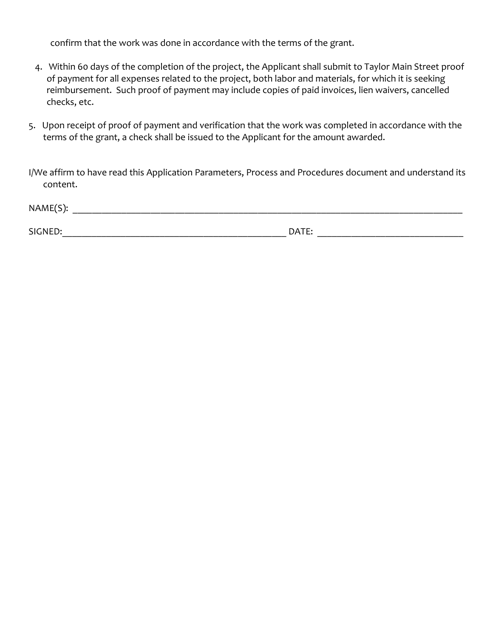confirm that the work was done in accordance with the terms of the grant.

- 4. Within 60 days of the completion of the project, the Applicant shall submit to Taylor Main Street proof of payment for all expenses related to the project, both labor and materials, for which it is seeking reimbursement. Such proof of payment may include copies of paid invoices, lien waivers, cancelled checks, etc.
- 5. Upon receipt of proof of payment and verification that the work was completed in accordance with the terms of the grant, a check shall be issued to the Applicant for the amount awarded.

I/We affirm to have read this Application Parameters, Process and Procedures document and understand its content.

| NAME(S): |            |  |
|----------|------------|--|
|          |            |  |
| SIGNED:  | DATE:<br>⊷ |  |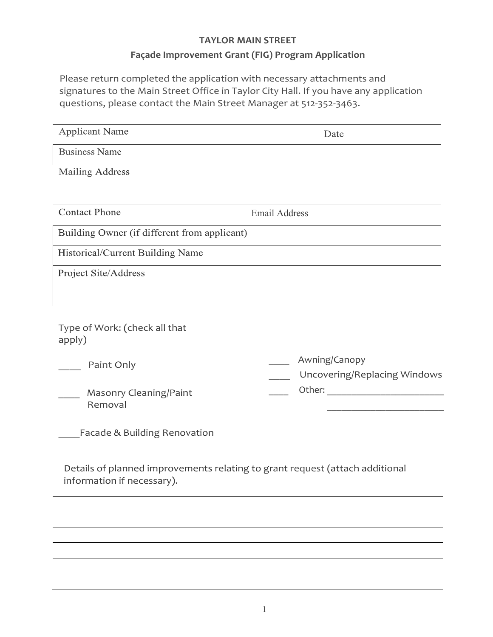# **TAYLOR MAIN STREET**

# **Façade Improvement Grant (FIG) Program Application**

Please return completed the application with necessary attachments and signatures to the Main Street Office in Taylor City Hall. If you have any application questions, please contact the Main Street Manager at 512-352-3463.

| <b>Applicant Name</b>                                                                                      | Date                                          |
|------------------------------------------------------------------------------------------------------------|-----------------------------------------------|
| <b>Business Name</b>                                                                                       |                                               |
| <b>Mailing Address</b>                                                                                     |                                               |
|                                                                                                            |                                               |
| <b>Contact Phone</b>                                                                                       | <b>Email Address</b>                          |
| Building Owner (if different from applicant)                                                               |                                               |
| Historical/Current Building Name                                                                           |                                               |
| Project Site/Address                                                                                       |                                               |
|                                                                                                            |                                               |
| Type of Work: (check all that<br>apply)                                                                    |                                               |
| Paint Only                                                                                                 | Awning/Canopy<br>Uncovering/Replacing Windows |
| Masonry Cleaning/Paint<br>Removal                                                                          |                                               |
| Facade & Building Renovation                                                                               |                                               |
| Details of planned improvements relating to grant request (attach additional<br>information if necessary). |                                               |
|                                                                                                            |                                               |
|                                                                                                            |                                               |
|                                                                                                            |                                               |
|                                                                                                            |                                               |
|                                                                                                            |                                               |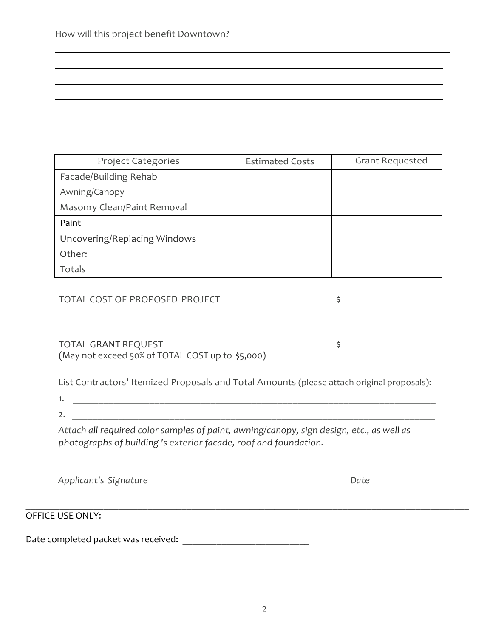| <b>Project Categories</b>    | <b>Estimated Costs</b> | <b>Grant Requested</b> |
|------------------------------|------------------------|------------------------|
| Facade/Building Rehab        |                        |                        |
| Awning/Canopy                |                        |                        |
| Masonry Clean/Paint Removal  |                        |                        |
| Paint                        |                        |                        |
| Uncovering/Replacing Windows |                        |                        |
| Other:                       |                        |                        |
| Totals                       |                        |                        |

TOTAL COST OF PROPOSED PROJECT  $\frac{1}{5}$ 

TOTAL GRANT REQUEST  $\frac{1}{5}$ (May not exceed 50% of TOTAL COST up to \$5,000)

List Contractors' Itemized Proposals and Total Amounts (please attach original proposals):

1. \_\_\_\_\_\_\_\_\_\_\_\_\_\_\_\_\_\_\_\_\_\_\_\_\_\_\_\_\_\_\_\_\_\_\_\_\_\_\_\_\_\_\_\_\_\_\_\_\_\_\_\_\_\_\_\_\_\_\_\_\_\_\_\_\_\_\_\_\_\_\_

2.

*Attach all required color samples of paint, awning/canopy, sign design, etc., as well as photographs of building 's exterior facade, roof and foundation.*

*Applicant's Signature Date*

OFFICE USE ONLY:

Date completed packet was received: \_\_\_\_\_\_\_\_\_\_\_\_\_\_\_\_\_\_\_\_\_\_\_\_\_\_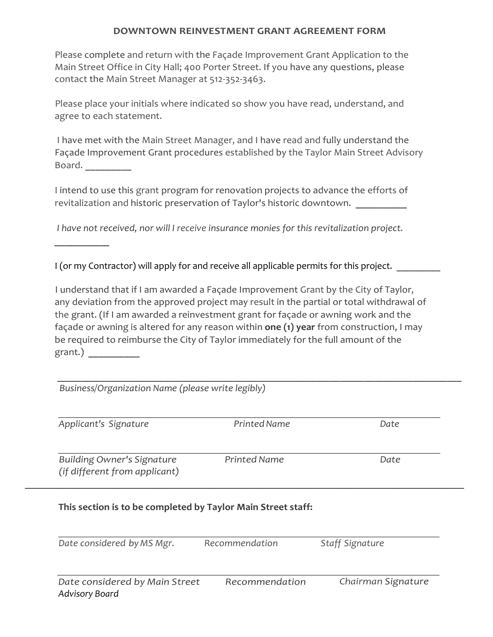#### **DOWNTOWN REINVESTMENT GRANT AGREEMENT FORM**

Please complete and return with the Façade Improvement Grant Application to the Main Street Office in City Hall; 400 Porter Street. If you have any questions, please contact the Main Street Manager at 512-352-3463.

Please place your initials where indicated so show you have read, understand, and agree to each statement.

I have met with the Main Street Manager, and I have read and fully understand the Façade Improvement Grant procedures established by the Taylor Main Street Advisory Board. **\_\_\_\_\_\_\_\_\_**

I intend to use this grant program for renovation projects to advance the efforts of revitalization and historic preservation of Taylor's historic downtown.

*I have not received, nor will I receive insurance monies for this revitalization project.* 

I (or my Contractor) will apply for and receive all applicable permits for this project.

*\_\_\_\_\_\_\_\_\_\_\_*

I understand that if I am awarded a Façade Improvement Grant by the City of Taylor, any deviation from the approved project may result in the partial or total withdrawal of the grant. (If I am awarded a reinvestment grant for façade or awning work and the façade or awning is altered for any reason within **one (1) year** from construction, I may be required to reimburse the City of Taylor immediately for the full amount of the grant.) **\_\_\_\_\_\_\_\_\_\_**

| Applicant's Signature                                              | Printed Name        | Date |
|--------------------------------------------------------------------|---------------------|------|
| <b>Building Owner's Signature</b><br>(if different from applicant) | <b>Printed Name</b> | Date |

*Date considered by MS Mgr. Recommendation Staff Signature Date considered by Main Street Recommendation Chairman Signature Advisory Board*